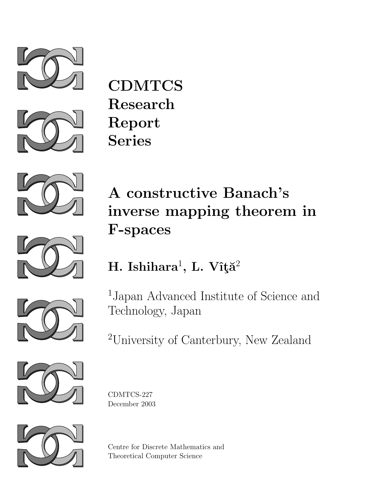



**CDMTCS** Research Report Series



# A constructive Banach's inverse mapping theorem in F-spaces



## $\boldsymbol{\mathrm{H.}}$  Ishihara $^1$ , L. Vîţă $^2$

1 Japan Advanced Institute of Science and Technology, Japan

<sup>2</sup>University of Canterbury, New Zealand







Centre for Discrete Mathematics and Theoretical Computer Science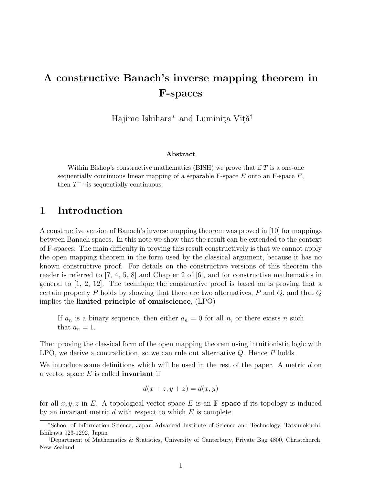### A constructive Banach's inverse mapping theorem in F-spaces

Hajime Ishihara<sup>∗</sup> and Luminita Vîtă<sup>†</sup>

#### Abstract

Within Bishop's constructive mathematics  $(BISH)$  we prove that if T is a one-one sequentially continuous linear mapping of a separable  $F$ -space  $E$  onto an  $F$ -space  $F$ , then  $T^{-1}$  is sequentially continuous.

#### 1 Introduction

A constructive version of Banach's inverse mapping theorem was proved in [10] for mappings between Banach spaces. In this note we show that the result can be extended to the context of F-spaces. The main difficulty in proving this result constructively is that we cannot apply the open mapping theorem in the form used by the classical argument, because it has no known constructive proof. For details on the constructive versions of this theorem the reader is referred to [7, 4, 5, 8] and Chapter 2 of [6], and for constructive mathematics in general to [1, 2, 12]. The technique the constructive proof is based on is proving that a certain property P holds by showing that there are two alternatives,  $P$  and  $Q$ , and that  $Q$ implies the limited principle of omniscience, (LPO)

If  $a_n$  is a binary sequence, then either  $a_n = 0$  for all n, or there exists n such that  $a_n = 1$ .

Then proving the classical form of the open mapping theorem using intuitionistic logic with LPO, we derive a contradiction, so we can rule out alternative  $Q$ . Hence  $P$  holds.

We introduce some definitions which will be used in the rest of the paper. A metric d on a vector space  $E$  is called **invariant** if

$$
d(x + z, y + z) = d(x, y)
$$

for all  $x, y, z$  in E. A topological vector space E is an **F-space** if its topology is induced by an invariant metric  $d$  with respect to which  $E$  is complete.

<sup>∗</sup>School of Information Science, Japan Advanced Institute of Science and Technology, Tatsunokuchi, Ishikawa 923-1292, Japan

<sup>†</sup>Department of Mathematics & Statistics, University of Canterbury, Private Bag 4800, Christchurch, New Zealand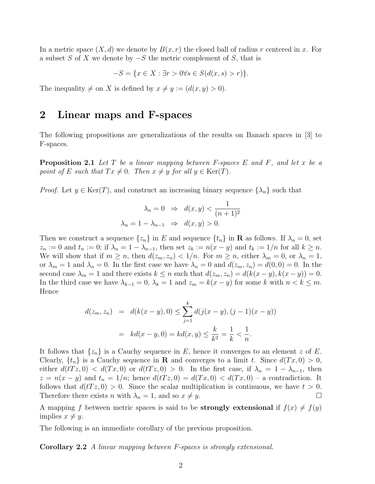In a metric space  $(X, d)$  we denote by  $B(x, r)$  the closed ball of radius r centered in x. For a subset S of X we denote by  $-S$  the metric complement of S, that is

$$
-S = \{ x \in X : \exists r > 0 \forall s \in S(d(x, s) > r) \}.
$$

The inequality  $\neq$  on X is defined by  $x \neq y := (d(x, y) > 0)$ .

#### 2 Linear maps and F-spaces

The following propositions are generalizations of the results on Banach spaces in [3] to F-spaces.

**Proposition 2.1** Let T be a linear mapping between F-spaces E and F, and let x be a point of E such that  $Tx \neq 0$ . Then  $x \neq y$  for all  $y \in \text{Ker}(T)$ .

*Proof.* Let  $y \in \text{Ker}(T)$ , and construct an increasing binary sequence  $\{\lambda_n\}$  such that

$$
\lambda_n = 0 \Rightarrow d(x, y) < \frac{1}{(n+1)^2}
$$
\n
$$
\lambda_n = 1 - \lambda_{n-1} \Rightarrow d(x, y) > 0.
$$

Then we construct a sequence  $\{z_n\}$  in E and sequence  $\{t_n\}$  in **R** as follows. If  $\lambda_n = 0$ , set  $z_n := 0$  and  $t_n := 0$ ; if  $\lambda_n = 1 - \lambda_{n-1}$ , then set  $z_k := n(x - y)$  and  $t_k := 1/n$  for all  $k \geq n$ . We will show that if  $m \ge n$ , then  $d(z_m, z_n) < 1/n$ . For  $m \ge n$ , either  $\lambda_m = 0$ , or  $\lambda_n = 1$ , or  $\lambda_m = 1$  and  $\lambda_n = 0$ . In the first case we have  $\lambda_n = 0$  and  $d(z_m, z_n) = d(0, 0) = 0$ . In the second case  $\lambda_m = 1$  and there exists  $k \leq n$  such that  $d(z_m, z_n) = d(k(x - y), k(x - y)) = 0$ . In the third case we have  $\lambda_{k-1} = 0$ ,  $\lambda_k = 1$  and  $z_m = k(x - y)$  for some k with  $n < k \leq m$ . Hence

$$
d(z_m, z_n) = d(k(x - y), 0) \le \sum_{j=1}^k d(j(x - y), (j - 1)(x - y))
$$
  
=  $kd(x - y, 0) = kd(x, y) \le \frac{k}{k^2} = \frac{1}{k} < \frac{1}{n}.$ 

It follows that  $\{z_n\}$  is a Cauchy sequence in E, hence it converges to an element z of E. Clearly,  $\{t_n\}$  is a Cauchy sequence in **R** and converges to a limit t. Since  $d(Tx, 0) > 0$ , either  $d(Tz, 0) < d(Tx, 0)$  or  $d(Tz, 0) > 0$ . In the first case, if  $\lambda_n = 1 - \lambda_{n-1}$ , then  $z = n(x - y)$  and  $t_n = 1/n$ ; hence  $d(Tz, 0) = d(Tx, 0) < d(Tx, 0) - a$  contradiction. It follows that  $d(Tz, 0) > 0$ . Since the scalar multiplication is continuous, we have  $t > 0$ . Therefore there exists *n* with  $\lambda_n = 1$ , and so  $x \neq y$ .

A mapping f between metric spaces is said to be **strongly extensional** if  $f(x) \neq f(y)$ implies  $x \neq y$ .

The following is an immediate corollary of the previous proposition.

Corollary 2.2 A linear mapping between F-spaces is strongly extensional.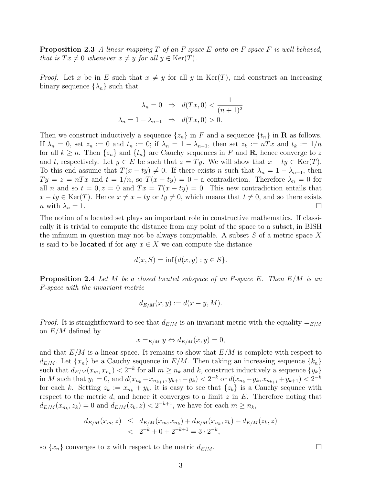**Proposition 2.3** A linear mapping  $T$  of an F-space  $E$  onto an F-space  $F$  is well-behaved, that is  $Tx \neq 0$  whenever  $x \neq y$  for all  $y \in \text{Ker}(T)$ .

*Proof.* Let x be in E such that  $x \neq y$  for all y in Ker(T), and construct an increasing binary sequence  $\{\lambda_n\}$  such that

$$
\lambda_n = 0 \Rightarrow d(Tx, 0) < \frac{1}{(n+1)^2}
$$
\n
$$
\lambda_n = 1 - \lambda_{n-1} \Rightarrow d(Tx, 0) > 0.
$$

Then we construct inductively a sequence  $\{z_n\}$  in F and a sequence  $\{t_n\}$  in **R** as follows. If  $\lambda_n = 0$ , set  $z_n := 0$  and  $t_n := 0$ ; if  $\lambda_n = 1 - \lambda_{n-1}$ , then set  $z_k := nTx$  and  $t_k := 1/n$ for all  $k \geq n$ . Then  $\{z_n\}$  and  $\{t_n\}$  are Cauchy sequences in F and **R**, hence converge to z and t, respectively. Let  $y \in E$  be such that  $z = Ty$ . We will show that  $x - ty \in \text{Ker}(T)$ . To this end assume that  $T(x - ty) \neq 0$ . If there exists n such that  $\lambda_n = 1 - \lambda_{n-1}$ , then  $Ty = z = nTx$  and  $t = 1/n$ , so  $T(x - ty) = 0$  – a contradiction. Therefore  $\lambda_n = 0$  for all n and so  $t = 0, z = 0$  and  $Tx = T(x - ty) = 0$ . This new contradiction entails that  $x - ty \in \text{Ker}(T)$ . Hence  $x \neq x - ty$  or  $ty \neq 0$ , which means that  $t \neq 0$ , and so there exists  $n \text{ with } \lambda_n = 1.$ 

The notion of a located set plays an important role in constructive mathematics. If classically it is trivial to compute the distance from any point of the space to a subset, in BISH the infimum in question may not be always computable. A subset  $S$  of a metric space  $X$ is said to be **located** if for any  $x \in X$  we can compute the distance

$$
d(x, S) = \inf \{ d(x, y) : y \in S \}.
$$

**Proposition 2.4** Let M be a closed located subspace of an F-space E. Then  $E/M$  is an F-space with the invariant metric

$$
d_{E/M}(x,y) := d(x - y, M).
$$

*Proof.* It is straightforward to see that  $d_{E/M}$  is an invariant metric with the equality  $=_{E/M}$ on  $E/M$  defined by

$$
x =_{E/M} y \Leftrightarrow d_{E/M}(x, y) = 0,
$$

and that  $E/M$  is a linear space. It remains to show that  $E/M$  is complete with respect to  $d_{E/M}$ . Let  $\{x_n\}$  be a Cauchy sequence in  $E/M$ . Then taking an increasing sequence  $\{k_n\}$ such that  $d_{E/M}(x_m, x_{n_k}) < 2^{-k}$  for all  $m \ge n_k$  and k, construct inductively a sequence  $\{y_k\}$ in M such that  $y_1 = 0$ , and  $d(x_{n_k} - x_{n_{k+1}}, y_{k+1} - y_k) < 2^{-k}$  or  $d(x_{n_k} + y_k, x_{n_{k+1}} + y_{k+1}) < 2^{-k}$ for each k. Setting  $z_k := x_{n_k} + y_k$ , it is easy to see that  $\{z_k\}$  is a Cauchy sequnce with respect to the metric  $d$ , and hence it converges to a limit  $z$  in  $E$ . Therefore noting that  $d_{E/M}(x_{n_k}, z_k) = 0$  and  $d_{E/M}(z_k, z) < 2^{-k+1}$ , we have for each  $m \ge n_k$ ,

$$
d_{E/M}(x_m, z) \leq d_{E/M}(x_m, x_{n_k}) + d_{E/M}(x_{n_k}, z_k) + d_{E/M}(z_k, z)
$$
  
< 
$$
< 2^{-k} + 0 + 2^{-k+1} = 3 \cdot 2^{-k},
$$

so  $\{x_n\}$  converges to z with respect to the metric  $d_{E/M}$ .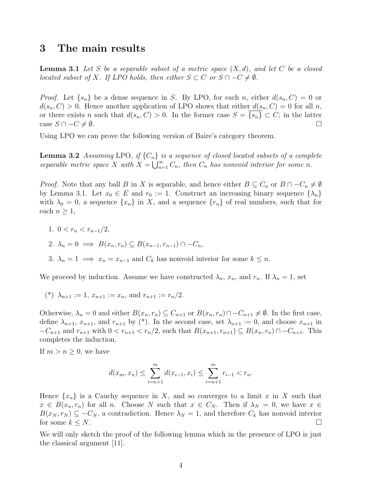#### 3 The main results

**Lemma 3.1** Let S be a separable subset of a metric space  $(X, d)$ , and let C be a closed located subset of X. If LPO holds, then either  $S \subset C$  or  $S \cap -C \neq \emptyset$ .

*Proof.* Let  $\{s_n\}$  be a dense sequence in S. By LPO, for each n, either  $d(s_n, C) = 0$  or  $d(s_n, C) > 0$ . Hence another application of LPO shows that either  $d(s_n, C) = 0$  for all n, or there exists n such that  $d(s_n, C) > 0$ . In the former case  $S = \{s_n\} \subset C$ ; in the latter case  $S \cap -C \neq \emptyset$ .

Using LPO we can prove the following version of Baire's category theorem.

**Lemma 3.2** Assuming LPO, if  $\{C_n\}$  is a sequence of closed located subsets of a complete separable metric space X with  $X = \bigcup_{n=1}^{\infty} C_n$ , then  $C_n$  has nonvoid interior for some n.

*Proof.* Note that any ball B in X is separable, and hence either  $B \subseteq C_n$  or  $B \cap -C_n \neq \emptyset$ by Lemma 3.1. Let  $x_0 \in E$  and  $r_0 := 1$ . Construct an increasing binary sequence  $\{\lambda_n\}$ with  $\lambda_0 = 0$ , a sequence  $\{x_n\}$  in X, and a sequence  $\{r_n\}$  of real numbers, such that for each  $n \geq 1$ ,

1.  $0 < r_n < r_{n-1}/2$ ,

$$
2. \ \lambda_n = 0 \implies B(x_n, r_n) \subseteq B(x_{n-1}, r_{n-1}) \cap -C_n,
$$

3.  $\lambda_n = 1 \implies x_n = x_{n-1}$  and  $C_k$  has nonvoid interior for some  $k \leq n$ .

We proceed by induction. Assume we have constructed  $\lambda_n$ ,  $x_n$ , and  $r_n$ . If  $\lambda_n = 1$ , set

$$
(*) \ \lambda_{n+1} := 1, x_{n+1} := x_n, \text{ and } r_{n+1} := r_n/2.
$$

Otherwise,  $\lambda_n = 0$  and either  $B(x_n, r_n) \subseteq C_{n+1}$  or  $B(x_n, r_n) \cap C_{n+1} \neq \emptyset$ . In the first case, define  $\lambda_{n+1}$ ,  $x_{n+1}$ , and  $r_{n+1}$  by (\*). In the second case, set  $\lambda_{n+1} := 0$ , and choose  $x_{n+1}$  in  $-C_{n+1}$  and  $r_{n+1}$  with  $0 < r_{n+1} < r_n/2$ , such that  $B(x_{n+1}, r_{n+1}) \subseteq B(x_n, r_n) \cap -C_{n+1}$ . This completes the induction.

If  $m > n \geq 0$ , we have

$$
d(x_m, x_n) \le \sum_{i=n+1}^m d(x_{i-1}, x_i) \le \sum_{i=n+1}^m r_{i-1} < r_n.
$$

Hence  $\{x_n\}$  is a Cauchy sequence in X, and so converges to a limit x in X such that  $x \in B(x_n, r_n)$  for all n. Choose N such that  $x \in C_N$ . Then if  $\lambda_N = 0$ , we have  $x \in$  $B(x_N, r_N) \subseteq -C_N$ , a contradiction. Hence  $\lambda_N = 1$ , and therefore  $C_k$  has nonvoid interior for some  $k \leq N$ .

We will only sketch the proof of the following lemma which in the presence of LPO is just the classical argument [11].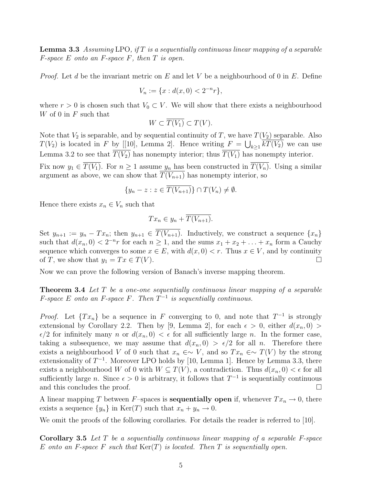**Lemma 3.3** Assuming LPO, if T is a sequentially continuous linear mapping of a separable  $F$ -space  $E$  onto an  $F$ -space  $F$ , then  $T$  is open.

*Proof.* Let d be the invariant metric on E and let V be a neighbourhood of 0 in E. Define

$$
V_n := \{ x : d(x, 0) < 2^{-n} r \},
$$

where  $r > 0$  is chosen such that  $V_0 \subset V$ . We will show that there exists a neighbourhood  $W$  of 0 in  $F$  such that

$$
W \subset T(V_1) \subset T(V).
$$

Note that  $V_2$  is separable, and by sequential continuity of T, we have  $T(V_2)$  separable. Also  $T(V_2)$  is located in F by [[10], Lemma 2]. Hence writing  $F = \bigcup_{k \geq 1} kT(V_2)$  we can use Lemma 3.2 to see that  $\overline{T(V_2)}$  has nonempty interior; thus  $\overline{T(V_1)}$  has nonempty interior. Fix now  $y_1 \in \overline{T(V_1)}$ . For  $n \geq 1$  assume  $y_n$  has been constructed in  $\overline{T(V_n)}$ . Using a similar

argument as above, we can show that 
$$
T(V_{n+1})
$$
 has nonempty interior, so  
\n
$$
\{y_n - z : z \in \overline{T(V_{n+1})}\} \cap T(V_n) \neq \emptyset.
$$

Hence there exists  $x_n \in V_n$  such that

$$
Tx_n \in y_n + \overline{T(V_{n+1})}.
$$

Set  $y_{n+1} := y_n - Tx_n$ ; then  $y_{n+1} \in \overline{T(V_{n+1})}$ . Inductively, we construct a sequence  $\{x_n\}$ such that  $d(x_n, 0) < 2^{-n}r$  for each  $n \ge 1$ , and the sums  $x_1 + x_2 + \ldots + x_n$  form a Cauchy sequence which converges to some  $x \in E$ , with  $d(x, 0) < r$ . Thus  $x \in V$ , and by continuity of T, we show that  $y_1 = Tx \in T(V)$ .

Now we can prove the following version of Banach's inverse mapping theorem.

**Theorem 3.4** Let  $T$  be a one-one sequentially continuous linear mapping of a separable *F*-space *E* onto an *F*-space *F*. Then  $T^{-1}$  is sequentially continuous.

*Proof.* Let  $\{Tx_n\}$  be a sequence in F converging to 0, and note that  $T^{-1}$  is strongly extensional by Corollary 2.2. Then by [9, Lemma 2], for each  $\epsilon > 0$ , either  $d(x_n, 0) >$  $\epsilon/2$  for infinitely many n or  $d(x_n, 0) < \epsilon$  for all sufficiently large n. In the former case, taking a subsequence, we may assume that  $d(x_n, 0) > \epsilon/2$  for all n. Therefore there exists a neighbourhood V of 0 such that  $x_n \in \sim V$ , and so  $Tx_n \in \sim T(V)$  by the strong extensionality of  $T^{-1}$ . Moreover LPO holds by [10, Lemma 1]. Hence by Lemma 3.3, there exists a neighbourhood W of 0 with  $W \subseteq T(V)$ , a contradiction. Thus  $d(x_n, 0) < \epsilon$  for all sufficiently large *n*. Since  $\epsilon > 0$  is arbitrary, it follows that  $T^{-1}$  is sequentially continuous and this concludes the proof.

A linear mapping T between F–spaces is **sequentially open** if, whenever  $Tx_n \to 0$ , there exists a sequence  $\{y_n\}$  in  $\text{Ker}(T)$  such that  $x_n + y_n \to 0$ .

We omit the proofs of the following corollaries. For details the reader is referred to [10].

**Corollary 3.5** Let  $T$  be a sequentially continuous linear mapping of a separable  $F$ -space E onto an F-space F such that  $\text{Ker}(T)$  is located. Then T is sequentially open.